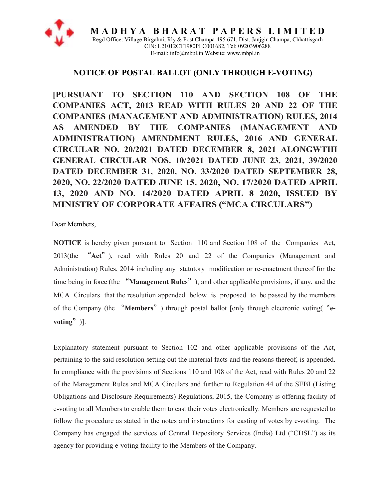

**M A D H Y A B H A R A T P A P E R S L I M I T E D**  Regd Office: Village Birgahni, Rly & Post Champa-495 671, Dist. Janjgir-Champa, Chhattisgarh CIN: L21012CT1980PLC001682, Tel: 09203906288 E-mail: info@mbpl.in Website: www.mbpl.in

# **NOTICE OF POSTAL BALLOT (ONLY THROUGH E-VOTING)**

**[PURSUANT TO SECTION 110 AND SECTION 108 OF THE COMPANIES ACT, 2013 READ WITH RULES 20 AND 22 OF THE COMPANIES (MANAGEMENT AND ADMINISTRATION) RULES, 2014 AS AMENDED BY THE COMPANIES (MANAGEMENT AND ADMINISTRATION) AMENDMENT RULES, 2016 AND GENERAL CIRCULAR NO. 20/2021 DATED DECEMBER 8, 2021 ALONGWTIH GENERAL CIRCULAR NOS. 10/2021 DATED JUNE 23, 2021, 39/2020 DATED DECEMBER 31, 2020, NO. 33/2020 DATED SEPTEMBER 28, 2020, NO. 22/2020 DATED JUNE 15, 2020, NO. 17/2020 DATED APRIL 13, 2020 AND NO. 14/2020 DATED APRIL 8 2020, ISSUED BY MINISTRY OF CORPORATE AFFAIRS ("MCA CIRCULARS")**

Dear Members,

**NOTICE** is hereby given pursuant to Section 110 and Section 108 of the Companies Act, 2013(the "**Act**"), read with Rules 20 and 22 of the Companies (Management and Administration) Rules, 2014 including any statutory modification or re-enactment thereof for the time being in force (the "**Management Rules**"), and other applicable provisions, if any, and the MCA Circulars that the resolution appended below is proposed to be passed by the members of the Company (the "**Members**") through postal ballot [only through electronic voting("**evoting**")].

Explanatory statement pursuant to Section 102 and other applicable provisions of the Act, pertaining to the said resolution setting out the material facts and the reasons thereof, is appended. In compliance with the provisions of Sections 110 and 108 of the Act, read with Rules 20 and 22 of the Management Rules and MCA Circulars and further to Regulation 44 of the SEBI (Listing Obligations and Disclosure Requirements) Regulations, 2015, the Company is offering facility of e-voting to all Members to enable them to cast their votes electronically. Members are requested to follow the procedure as stated in the notes and instructions for casting of votes by e-voting. The Company has engaged the services of Central Depository Services (India) Ltd ("CDSL") as its agency for providing e-voting facility to the Members of the Company.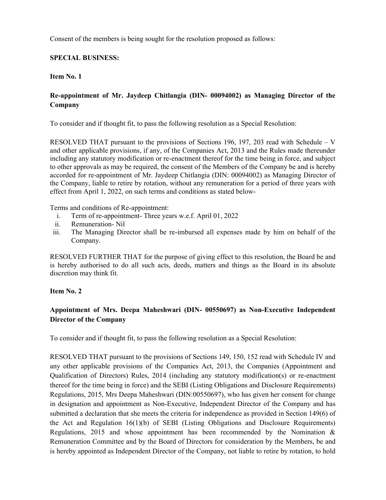Consent of the members is being sought for the resolution proposed as follows:

### **SPECIAL BUSINESS:**

**Item No. 1** 

### **Re-appointment of Mr. Jaydeep Chitlangia (DIN- 00094002) as Managing Director of the Company**

To consider and if thought fit, to pass the following resolution as a Special Resolution:

RESOLVED THAT pursuant to the provisions of Sections 196, 197, 203 read with Schedule – V and other applicable provisions, if any, of the Companies Act, 2013 and the Rules made thereunder including any statutory modification or re-enactment thereof for the time being in force, and subject to other approvals as may be required, the consent of the Members of the Company be and is hereby accorded for re-appointment of Mr. Jaydeep Chitlangia (DIN: 00094002) as Managing Director of the Company, liable to retire by rotation, without any remuneration for a period of three years with effect from April 1, 2022, on such terms and conditions as stated below-

Terms and conditions of Re-appointment:

- i. Term of re-appointment- Three years w.e.f. April 01, 2022
- ii. Remuneration- Nil
- iii. The Managing Director shall be re-imbursed all expenses made by him on behalf of the Company.

RESOLVED FURTHER THAT for the purpose of giving effect to this resolution, the Board be and is hereby authorised to do all such acts, deeds, matters and things as the Board in its absolute discretion may think fit.

### **Item No. 2**

### **Appointment of Mrs. Deepa Maheshwari (DIN- 00550697) as Non-Executive Independent Director of the Company**

To consider and if thought fit, to pass the following resolution as a Special Resolution:

RESOLVED THAT pursuant to the provisions of Sections 149, 150, 152 read with Schedule IV and any other applicable provisions of the Companies Act, 2013, the Companies (Appointment and Qualification of Directors) Rules, 2014 (including any statutory modification(s) or re-enactment thereof for the time being in force) and the SEBI (Listing Obligations and Disclosure Requirements) Regulations, 2015, Mrs Deepa Maheshwari (DIN:00550697), who has given her consent for change in designation and appointment as Non-Executive, Independent Director of the Company and has submitted a declaration that she meets the criteria for independence as provided in Section 149(6) of the Act and Regulation 16(1)(b) of SEBI (Listing Obligations and Disclosure Requirements) Regulations, 2015 and whose appointment has been recommended by the Nomination & Remuneration Committee and by the Board of Directors for consideration by the Members, be and is hereby appointed as Independent Director of the Company, not liable to retire by rotation, to hold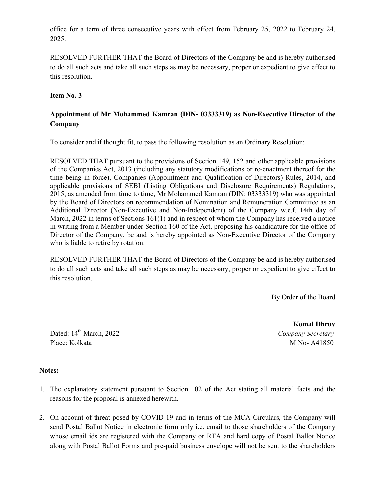office for a term of three consecutive years with effect from February 25, 2022 to February 24, 2025.

RESOLVED FURTHER THAT the Board of Directors of the Company be and is hereby authorised to do all such acts and take all such steps as may be necessary, proper or expedient to give effect to this resolution.

**Item No. 3** 

### **Appointment of Mr Mohammed Kamran (DIN- 03333319) as Non-Executive Director of the Company**

To consider and if thought fit, to pass the following resolution as an Ordinary Resolution:

RESOLVED THAT pursuant to the provisions of Section 149, 152 and other applicable provisions of the Companies Act, 2013 (including any statutory modifications or re-enactment thereof for the time being in force), Companies (Appointment and Qualification of Directors) Rules, 2014, and applicable provisions of SEBI (Listing Obligations and Disclosure Requirements) Regulations, 2015, as amended from time to time, Mr Mohammed Kamran (DIN: 03333319) who was appointed by the Board of Directors on recommendation of Nomination and Remuneration Committtee as an Additional Director (Non-Executive and Non-Independent) of the Company w.e.f. 14th day of March, 2022 in terms of Sections 161(1) and in respect of whom the Company has received a notice in writing from a Member under Section 160 of the Act, proposing his candidature for the office of Director of the Company, be and is hereby appointed as Non-Executive Director of the Company who is liable to retire by rotation.

RESOLVED FURTHER THAT the Board of Directors of the Company be and is hereby authorised to do all such acts and take all such steps as may be necessary, proper or expedient to give effect to this resolution.

By Order of the Board

Dated: 14th March, 2022 *Company Secretary*  Place: Kolkata M No- A41850

 **Komal Dhruv** 

### **Notes:**

- 1. The explanatory statement pursuant to Section 102 of the Act stating all material facts and the reasons for the proposal is annexed herewith.
- 2. On account of threat posed by COVID-19 and in terms of the MCA Circulars, the Company will send Postal Ballot Notice in electronic form only i.e. email to those shareholders of the Company whose email ids are registered with the Company or RTA and hard copy of Postal Ballot Notice along with Postal Ballot Forms and pre-paid business envelope will not be sent to the shareholders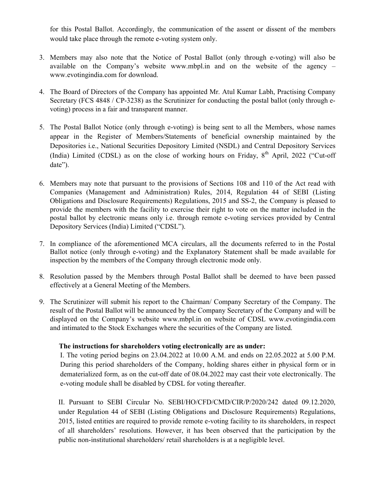for this Postal Ballot. Accordingly, the communication of the assent or dissent of the members would take place through the remote e-voting system only.

- 3. Members may also note that the Notice of Postal Ballot (only through e-voting) will also be available on the Company's website www.mbpl.in and on the website of the agency – www.evotingindia.com for download.
- 4. The Board of Directors of the Company has appointed Mr. Atul Kumar Labh, Practising Company Secretary (FCS 4848 / CP-3238) as the Scrutinizer for conducting the postal ballot (only through evoting) process in a fair and transparent manner.
- 5. The Postal Ballot Notice (only through e-voting) is being sent to all the Members, whose names appear in the Register of Members/Statements of beneficial ownership maintained by the Depositories i.e., National Securities Depository Limited (NSDL) and Central Depository Services (India) Limited (CDSL) as on the close of working hours on Friday,  $8<sup>th</sup>$  April, 2022 ("Cut-off date").
- 6. Members may note that pursuant to the provisions of Sections 108 and 110 of the Act read with Companies (Management and Administration) Rules, 2014, Regulation 44 of SEBI (Listing Obligations and Disclosure Requirements) Regulations, 2015 and SS-2, the Company is pleased to provide the members with the facility to exercise their right to vote on the matter included in the postal ballot by electronic means only i.e. through remote e-voting services provided by Central Depository Services (India) Limited ("CDSL").
- 7. In compliance of the aforementioned MCA circulars, all the documents referred to in the Postal Ballot notice (only through e-voting) and the Explanatory Statement shall be made available for inspection by the members of the Company through electronic mode only.
- 8. Resolution passed by the Members through Postal Ballot shall be deemed to have been passed effectively at a General Meeting of the Members.
- 9. The Scrutinizer will submit his report to the Chairman/ Company Secretary of the Company. The result of the Postal Ballot will be announced by the Company Secretary of the Company and will be displayed on the Company's website www.mbpl.in on website of CDSL www.evotingindia.com and intimated to the Stock Exchanges where the securities of the Company are listed.

### **The instructions for shareholders voting electronically are as under:**

I. The voting period begins on 23.04.2022 at 10.00 A.M. and ends on 22.05.2022 at 5.00 P.M. During this period shareholders of the Company, holding shares either in physical form or in dematerialized form, as on the cut-off date of 08.04.2022 may cast their vote electronically. The e-voting module shall be disabled by CDSL for voting thereafter.

II. Pursuant to SEBI Circular No. SEBI/HO/CFD/CMD/CIR/P/2020/242 dated 09.12.2020, under Regulation 44 of SEBI (Listing Obligations and Disclosure Requirements) Regulations, 2015, listed entities are required to provide remote e-voting facility to its shareholders, in respect of all shareholders' resolutions. However, it has been observed that the participation by the public non-institutional shareholders/ retail shareholders is at a negligible level.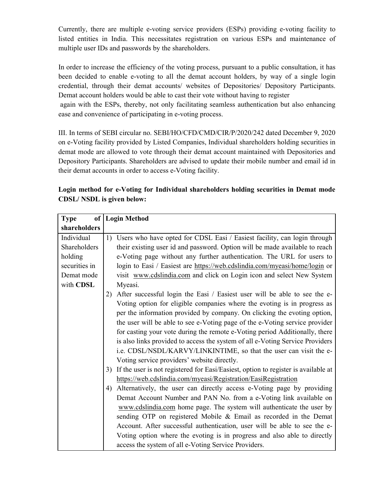Currently, there are multiple e-voting service providers (ESPs) providing e-voting facility to listed entities in India. This necessitates registration on various ESPs and maintenance of multiple user IDs and passwords by the shareholders.

In order to increase the efficiency of the voting process, pursuant to a public consultation, it has been decided to enable e-voting to all the demat account holders, by way of a single login credential, through their demat accounts/ websites of Depositories/ Depository Participants. Demat account holders would be able to cast their vote without having to register

 again with the ESPs, thereby, not only facilitating seamless authentication but also enhancing ease and convenience of participating in e-voting process.

III. In terms of SEBI circular no. SEBI/HO/CFD/CMD/CIR/P/2020/242 dated December 9, 2020 on e-Voting facility provided by Listed Companies, Individual shareholders holding securities in demat mode are allowed to vote through their demat account maintained with Depositories and Depository Participants. Shareholders are advised to update their mobile number and email id in their demat accounts in order to access e-Voting facility.

| of<br><b>Type</b>                                                  | <b>Login Method</b>                                                                      |  |  |
|--------------------------------------------------------------------|------------------------------------------------------------------------------------------|--|--|
| shareholders                                                       |                                                                                          |  |  |
| Individual                                                         | Users who have opted for CDSL Easi / Easiest facility, can login through<br>1)           |  |  |
| Shareholders                                                       | their existing user id and password. Option will be made available to reach              |  |  |
| holding                                                            | e-Voting page without any further authentication. The URL for users to                   |  |  |
| securities in                                                      | login to Easi / Easiest are https://web.cdslindia.com/myeasi/home/login or               |  |  |
| Demat mode                                                         | visit www.cdslindia.com and click on Login icon and select New System                    |  |  |
| with CDSL                                                          | Myeasi.                                                                                  |  |  |
|                                                                    | After successful login the Easi / Easiest user will be able to see the e-<br>2)          |  |  |
|                                                                    | Voting option for eligible companies where the evoting is in progress as                 |  |  |
|                                                                    | per the information provided by company. On clicking the evoting option,                 |  |  |
|                                                                    | the user will be able to see e-Voting page of the e-Voting service provider              |  |  |
|                                                                    | for casting your vote during the remote e-Voting period Additionally, there              |  |  |
|                                                                    | is also links provided to access the system of all e-Voting Service Providers            |  |  |
|                                                                    | i.e. CDSL/NSDL/KARVY/LINKINTIME, so that the user can visit the e-                       |  |  |
|                                                                    | Voting service providers' website directly.                                              |  |  |
|                                                                    | If the user is not registered for Easi/Easiest, option to register is available at<br>3) |  |  |
|                                                                    | https://web.cdslindia.com/myeasi/Registration/EasiRegistration                           |  |  |
|                                                                    | Alternatively, the user can directly access e-Voting page by providing<br>4)             |  |  |
| Demat Account Number and PAN No. from a e-Voting link available on |                                                                                          |  |  |
|                                                                    | www.cdslindia.com home page. The system will authenticate the user by                    |  |  |
|                                                                    | sending OTP on registered Mobile & Email as recorded in the Demat                        |  |  |
|                                                                    | Account. After successful authentication, user will be able to see the e-                |  |  |
|                                                                    | Voting option where the evoting is in progress and also able to directly                 |  |  |
|                                                                    | access the system of all e-Voting Service Providers.                                     |  |  |

**Login method for e-Voting for Individual shareholders holding securities in Demat mode CDSL/ NSDL is given below:**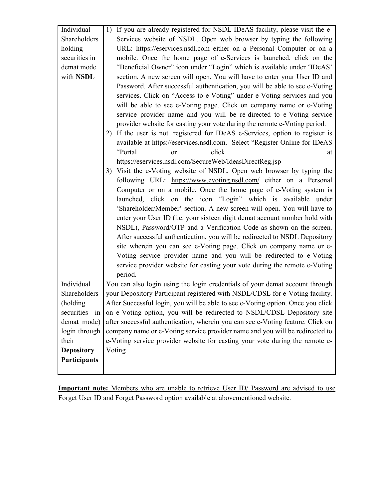| Individual<br>Shareholders<br>holding<br>securities in<br>demat mode<br>with NSDL | 1) If you are already registered for NSDL IDeAS facility, please visit the e-<br>Services website of NSDL. Open web browser by typing the following<br>URL: https://eservices.nsdl.com either on a Personal Computer or on a<br>mobile. Once the home page of e-Services is launched, click on the<br>"Beneficial Owner" icon under "Login" which is available under 'IDeAS'<br>section. A new screen will open. You will have to enter your User ID and<br>Password. After successful authentication, you will be able to see e-Voting<br>services. Click on "Access to e-Voting" under e-Voting services and you<br>will be able to see e-Voting page. Click on company name or e-Voting<br>service provider name and you will be re-directed to e-Voting service<br>provider website for casting your vote during the remote e-Voting period.<br>2) If the user is not registered for IDeAS e-Services, option to register is<br>available at https://eservices.nsdl.com. Select "Register Online for IDeAS<br>click<br>"Portal<br>at<br><sub>or</sub><br>https://eservices.nsdl.com/SecureWeb/IdeasDirectReg.jsp<br>3) Visit the e-Voting website of NSDL. Open web browser by typing the<br>following URL: https://www.evoting.nsdl.com/ either on a Personal<br>Computer or on a mobile. Once the home page of e-Voting system is<br>launched, click on the icon "Login" which is available under<br>'Shareholder/Member' section. A new screen will open. You will have to<br>enter your User ID (i.e. your sixteen digit demat account number hold with<br>NSDL), Password/OTP and a Verification Code as shown on the screen.<br>After successful authentication, you will be redirected to NSDL Depository<br>site wherein you can see e-Voting page. Click on company name or e-<br>Voting service provider name and you will be redirected to e-Voting<br>service provider website for casting your vote during the remote e-Voting<br>period. |  |  |
|-----------------------------------------------------------------------------------|------------------------------------------------------------------------------------------------------------------------------------------------------------------------------------------------------------------------------------------------------------------------------------------------------------------------------------------------------------------------------------------------------------------------------------------------------------------------------------------------------------------------------------------------------------------------------------------------------------------------------------------------------------------------------------------------------------------------------------------------------------------------------------------------------------------------------------------------------------------------------------------------------------------------------------------------------------------------------------------------------------------------------------------------------------------------------------------------------------------------------------------------------------------------------------------------------------------------------------------------------------------------------------------------------------------------------------------------------------------------------------------------------------------------------------------------------------------------------------------------------------------------------------------------------------------------------------------------------------------------------------------------------------------------------------------------------------------------------------------------------------------------------------------------------------------------------------------------------------------------------------------------------------------------------------------------------------|--|--|
| Individual                                                                        | You can also login using the login credentials of your demat account through                                                                                                                                                                                                                                                                                                                                                                                                                                                                                                                                                                                                                                                                                                                                                                                                                                                                                                                                                                                                                                                                                                                                                                                                                                                                                                                                                                                                                                                                                                                                                                                                                                                                                                                                                                                                                                                                               |  |  |
| Shareholders                                                                      | your Depository Participant registered with NSDL/CDSL for e-Voting facility.                                                                                                                                                                                                                                                                                                                                                                                                                                                                                                                                                                                                                                                                                                                                                                                                                                                                                                                                                                                                                                                                                                                                                                                                                                                                                                                                                                                                                                                                                                                                                                                                                                                                                                                                                                                                                                                                               |  |  |
| (holding                                                                          | After Successful login, you will be able to see e-Voting option. Once you click                                                                                                                                                                                                                                                                                                                                                                                                                                                                                                                                                                                                                                                                                                                                                                                                                                                                                                                                                                                                                                                                                                                                                                                                                                                                                                                                                                                                                                                                                                                                                                                                                                                                                                                                                                                                                                                                            |  |  |
| in<br>securities                                                                  | on e-Voting option, you will be redirected to NSDL/CDSL Depository site                                                                                                                                                                                                                                                                                                                                                                                                                                                                                                                                                                                                                                                                                                                                                                                                                                                                                                                                                                                                                                                                                                                                                                                                                                                                                                                                                                                                                                                                                                                                                                                                                                                                                                                                                                                                                                                                                    |  |  |
| demat mode)                                                                       | after successful authentication, wherein you can see e-Voting feature. Click on                                                                                                                                                                                                                                                                                                                                                                                                                                                                                                                                                                                                                                                                                                                                                                                                                                                                                                                                                                                                                                                                                                                                                                                                                                                                                                                                                                                                                                                                                                                                                                                                                                                                                                                                                                                                                                                                            |  |  |
| login through                                                                     | company name or e-Voting service provider name and you will be redirected to                                                                                                                                                                                                                                                                                                                                                                                                                                                                                                                                                                                                                                                                                                                                                                                                                                                                                                                                                                                                                                                                                                                                                                                                                                                                                                                                                                                                                                                                                                                                                                                                                                                                                                                                                                                                                                                                               |  |  |
| their                                                                             | e-Voting service provider website for casting your vote during the remote e-                                                                                                                                                                                                                                                                                                                                                                                                                                                                                                                                                                                                                                                                                                                                                                                                                                                                                                                                                                                                                                                                                                                                                                                                                                                                                                                                                                                                                                                                                                                                                                                                                                                                                                                                                                                                                                                                               |  |  |
| <b>Depository</b>                                                                 | Voting                                                                                                                                                                                                                                                                                                                                                                                                                                                                                                                                                                                                                                                                                                                                                                                                                                                                                                                                                                                                                                                                                                                                                                                                                                                                                                                                                                                                                                                                                                                                                                                                                                                                                                                                                                                                                                                                                                                                                     |  |  |
| Participants                                                                      |                                                                                                                                                                                                                                                                                                                                                                                                                                                                                                                                                                                                                                                                                                                                                                                                                                                                                                                                                                                                                                                                                                                                                                                                                                                                                                                                                                                                                                                                                                                                                                                                                                                                                                                                                                                                                                                                                                                                                            |  |  |
|                                                                                   |                                                                                                                                                                                                                                                                                                                                                                                                                                                                                                                                                                                                                                                                                                                                                                                                                                                                                                                                                                                                                                                                                                                                                                                                                                                                                                                                                                                                                                                                                                                                                                                                                                                                                                                                                                                                                                                                                                                                                            |  |  |

**Important note:** Members who are unable to retrieve User ID/ Password are advised to use Forget User ID and Forget Password option available at abovementioned website.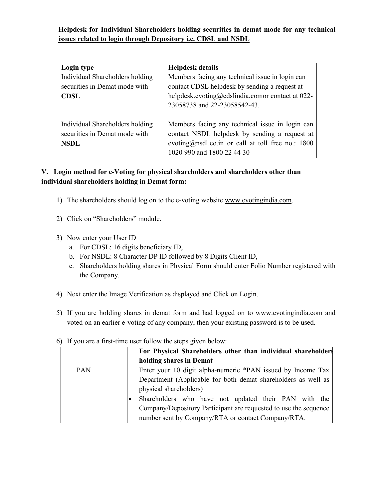# **Helpdesk for Individual Shareholders holding securities in demat mode for any technical issues related to login through Depository i.e. CDSL and NSDL**

| Login type                      | <b>Helpdesk details</b>                             |
|---------------------------------|-----------------------------------------------------|
| Individual Shareholders holding | Members facing any technical issue in login can     |
| securities in Demat mode with   | contact CDSL helpdesk by sending a request at       |
| <b>CDSL</b>                     | helpdesk.evoting@cdslindia.comor contact at 022-    |
|                                 | 23058738 and 22-23058542-43.                        |
|                                 |                                                     |
| Individual Shareholders holding | Members facing any technical issue in login can     |
| securities in Demat mode with   | contact NSDL helpdesk by sending a request at       |
| <b>NSDL</b>                     | evoting@nsdl.co.in or call at toll free no.: $1800$ |
|                                 | 1020 990 and 1800 22 44 30                          |

# **V. Login method for e-Voting for physical shareholders and shareholders other than individual shareholders holding in Demat form:**

- 1) The shareholders should log on to the e-voting website www.evotingindia.com.
- 2) Click on "Shareholders" module.
- 3) Now enter your User ID
	- a. For CDSL: 16 digits beneficiary ID,
	- b. For NSDL: 8 Character DP ID followed by 8 Digits Client ID,
	- c. Shareholders holding shares in Physical Form should enter Folio Number registered with the Company.
- 4) Next enter the Image Verification as displayed and Click on Login.
- 5) If you are holding shares in demat form and had logged on to www.evotingindia.com and voted on an earlier e-voting of any company, then your existing password is to be used.

|            | For Physical Shareholders other than individual shareholders     |  |  |  |
|------------|------------------------------------------------------------------|--|--|--|
|            | holding shares in Demat                                          |  |  |  |
| <b>PAN</b> | Enter your 10 digit alpha-numeric *PAN issued by Income Tax      |  |  |  |
|            | Department (Applicable for both demat shareholders as well as    |  |  |  |
|            | physical shareholders)                                           |  |  |  |
|            | Shareholders who have not updated their PAN with the             |  |  |  |
|            | Company/Depository Participant are requested to use the sequence |  |  |  |
|            | number sent by Company/RTA or contact Company/RTA.               |  |  |  |

6) If you are a first-time user follow the steps given below: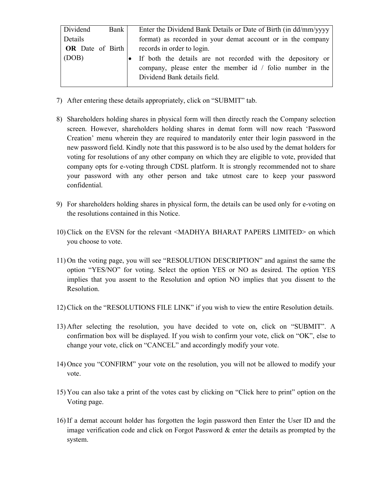| Dividend                | Bank | Enter the Dividend Bank Details or Date of Birth (in dd/mm/yyyy  |
|-------------------------|------|------------------------------------------------------------------|
| Details                 |      | format) as recorded in your demat account or in the company      |
| <b>OR</b> Date of Birth |      | records in order to login.                                       |
| (DOB)                   |      | If both the details are not recorded with the depository or      |
|                         |      | company, please enter the member id $\prime$ folio number in the |
|                         |      | Dividend Bank details field.                                     |
|                         |      |                                                                  |

- 7) After entering these details appropriately, click on "SUBMIT" tab.
- 8) Shareholders holding shares in physical form will then directly reach the Company selection screen. However, shareholders holding shares in demat form will now reach 'Password Creation' menu wherein they are required to mandatorily enter their login password in the new password field. Kindly note that this password is to be also used by the demat holders for voting for resolutions of any other company on which they are eligible to vote, provided that company opts for e-voting through CDSL platform. It is strongly recommended not to share your password with any other person and take utmost care to keep your password confidential.
- 9) For shareholders holding shares in physical form, the details can be used only for e-voting on the resolutions contained in this Notice.
- 10) Click on the EVSN for the relevant <MADHYA BHARAT PAPERS LIMITED> on which you choose to vote.
- 11) On the voting page, you will see "RESOLUTION DESCRIPTION" and against the same the option "YES/NO" for voting. Select the option YES or NO as desired. The option YES implies that you assent to the Resolution and option NO implies that you dissent to the Resolution.
- 12) Click on the "RESOLUTIONS FILE LINK" if you wish to view the entire Resolution details.
- 13) After selecting the resolution, you have decided to vote on, click on "SUBMIT". A confirmation box will be displayed. If you wish to confirm your vote, click on "OK", else to change your vote, click on "CANCEL" and accordingly modify your vote.
- 14) Once you "CONFIRM" your vote on the resolution, you will not be allowed to modify your vote.
- 15) You can also take a print of the votes cast by clicking on "Click here to print" option on the Voting page.
- 16) If a demat account holder has forgotten the login password then Enter the User ID and the image verification code and click on Forgot Password & enter the details as prompted by the system.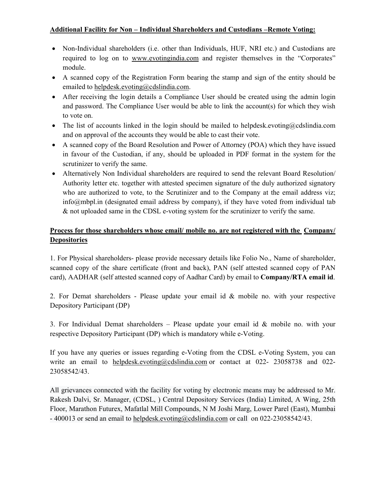### **Additional Facility for Non – Individual Shareholders and Custodians –Remote Voting:**

- Non-Individual shareholders (i.e. other than Individuals, HUF, NRI etc.) and Custodians are required to log on to www.evotingindia.com and register themselves in the "Corporates" module.
- A scanned copy of the Registration Form bearing the stamp and sign of the entity should be emailed to helpdesk.evoting@cdslindia.com.
- After receiving the login details a Compliance User should be created using the admin login and password. The Compliance User would be able to link the account(s) for which they wish to vote on.
- The list of accounts linked in the login should be mailed to helpdesk.evoting@cdslindia.com and on approval of the accounts they would be able to cast their vote.
- A scanned copy of the Board Resolution and Power of Attorney (POA) which they have issued in favour of the Custodian, if any, should be uploaded in PDF format in the system for the scrutinizer to verify the same.
- Alternatively Non Individual shareholders are required to send the relevant Board Resolution/ Authority letter etc. together with attested specimen signature of the duly authorized signatory who are authorized to vote, to the Scrutinizer and to the Company at the email address viz; info@mbpl.in (designated email address by company), if they have voted from individual tab & not uploaded same in the CDSL e-voting system for the scrutinizer to verify the same.

# **Process for those shareholders whose email/ mobile no. are not registered with the Company/ Depositories**

1. For Physical shareholders- please provide necessary details like Folio No., Name of shareholder, scanned copy of the share certificate (front and back), PAN (self attested scanned copy of PAN card), AADHAR (self attested scanned copy of Aadhar Card) by email to **Company/RTA email id**.

2. For Demat shareholders - Please update your email id  $\&$  mobile no. with your respective Depository Participant (DP)

3. For Individual Demat shareholders – Please update your email id  $\&$  mobile no. with your respective Depository Participant (DP) which is mandatory while e-Voting.

If you have any queries or issues regarding e-Voting from the CDSL e-Voting System, you can write an email to helpdesk.evoting@cdslindia.com or contact at 022- 23058738 and 022-23058542/43.

All grievances connected with the facility for voting by electronic means may be addressed to Mr. Rakesh Dalvi, Sr. Manager, (CDSL, ) Central Depository Services (India) Limited, A Wing, 25th Floor, Marathon Futurex, Mafatlal Mill Compounds, N M Joshi Marg, Lower Parel (East), Mumbai - 400013 or send an email to helpdesk.evoting@cdslindia.com or call on 022-23058542/43.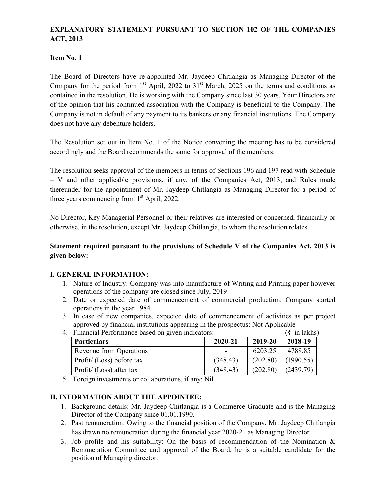# **EXPLANATORY STATEMENT PURSUANT TO SECTION 102 OF THE COMPANIES ACT, 2013**

### **Item No. 1**

The Board of Directors have re-appointed Mr. Jaydeep Chitlangia as Managing Director of the Company for the period from  $1<sup>st</sup>$  April, 2022 to  $31<sup>st</sup>$  March, 2025 on the terms and conditions as contained in the resolution. He is working with the Company since last 30 years. Your Directors are of the opinion that his continued association with the Company is beneficial to the Company. The Company is not in default of any payment to its bankers or any financial institutions. The Company does not have any debenture holders.

The Resolution set out in Item No. 1 of the Notice convening the meeting has to be considered accordingly and the Board recommends the same for approval of the members.

The resolution seeks approval of the members in terms of Sections 196 and 197 read with Schedule – V and other applicable provisions, if any, of the Companies Act, 2013, and Rules made thereunder for the appointment of Mr. Jaydeep Chitlangia as Managing Director for a period of three years commencing from  $1<sup>st</sup>$  April, 2022.

No Director, Key Managerial Personnel or their relatives are interested or concerned, financially or otherwise, in the resolution, except Mr. Jaydeep Chitlangia, to whom the resolution relates.

### **Statement required pursuant to the provisions of Schedule V of the Companies Act, 2013 is given below:**

### **I. GENERAL INFORMATION:**

- 1. Nature of Industry: Company was into manufacture of Writing and Printing paper however operations of the company are closed since July, 2019
- 2. Date or expected date of commencement of commercial production: Company started operations in the year 1984.
- 3. In case of new companies, expected date of commencement of activities as per project approved by financial institutions appearing in the prospectus: Not Applicable 4. Financial Performance based on given indicators:

| Financial Performance based on given indicators: |          |          | (₹ in lakhs) |
|--------------------------------------------------|----------|----------|--------------|
| <b>Particulars</b>                               | 2020-21  | 2019-20  | 2018-19      |
| Revenue from Operations                          |          | 6203.25  | 4788.85      |
| Profit/ (Loss) before tax                        | (348.43) | (202.80) | (1990.55)    |
| Profit/ (Loss) after tax                         | (348.43) | (202.80) | (2439.79)    |

- 4. Financial Performance based on given indicators:  $(\bar{f}$  in lakhs)
- 5. Foreign investments or collaborations, if any: Nil

### **II. INFORMATION ABOUT THE APPOINTEE:**

- 1. Background details: Mr. Jaydeep Chitlangia is a Commerce Graduate and is the Managing Director of the Company since 01.01.1990.
- 2. Past remuneration: Owing to the financial position of the Company, Mr. Jaydeep Chitlangia has drawn no remuneration during the financial year 2020-21 as Managing Director.
- 3. Job profile and his suitability: On the basis of recommendation of the Nomination  $\&$ Remuneration Committee and approval of the Board, he is a suitable candidate for the position of Managing director.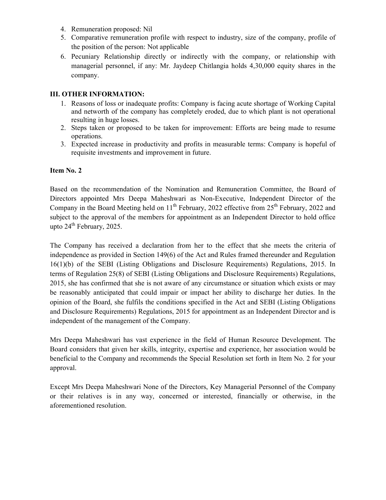- 4. Remuneration proposed: Nil
- 5. Comparative remuneration profile with respect to industry, size of the company, profile of the position of the person: Not applicable
- 6. Pecuniary Relationship directly or indirectly with the company, or relationship with managerial personnel, if any: Mr. Jaydeep Chitlangia holds 4,30,000 equity shares in the company.

### **III. OTHER INFORMATION:**

- 1. Reasons of loss or inadequate profits: Company is facing acute shortage of Working Capital and networth of the company has completely eroded, due to which plant is not operational resulting in huge losses.
- 2. Steps taken or proposed to be taken for improvement: Efforts are being made to resume operations.
- 3. Expected increase in productivity and profits in measurable terms: Company is hopeful of requisite investments and improvement in future.

### **Item No. 2**

Based on the recommendation of the Nomination and Remuneration Committee, the Board of Directors appointed Mrs Deepa Maheshwari as Non-Executive, Independent Director of the Company in the Board Meeting held on  $11<sup>th</sup>$  February, 2022 effective from  $25<sup>th</sup>$  February, 2022 and subject to the approval of the members for appointment as an Independent Director to hold office upto 24<sup>th</sup> February, 2025.

The Company has received a declaration from her to the effect that she meets the criteria of independence as provided in Section 149(6) of the Act and Rules framed thereunder and Regulation 16(1)(b) of the SEBI (Listing Obligations and Disclosure Requirements) Regulations, 2015. In terms of Regulation 25(8) of SEBI (Listing Obligations and Disclosure Requirements) Regulations, 2015, she has confirmed that she is not aware of any circumstance or situation which exists or may be reasonably anticipated that could impair or impact her ability to discharge her duties. In the opinion of the Board, she fulfils the conditions specified in the Act and SEBI (Listing Obligations and Disclosure Requirements) Regulations, 2015 for appointment as an Independent Director and is independent of the management of the Company.

Mrs Deepa Maheshwari has vast experience in the field of Human Resource Development. The Board considers that given her skills, integrity, expertise and experience, her association would be beneficial to the Company and recommends the Special Resolution set forth in Item No. 2 for your approval.

Except Mrs Deepa Maheshwari None of the Directors, Key Managerial Personnel of the Company or their relatives is in any way, concerned or interested, financially or otherwise, in the aforementioned resolution.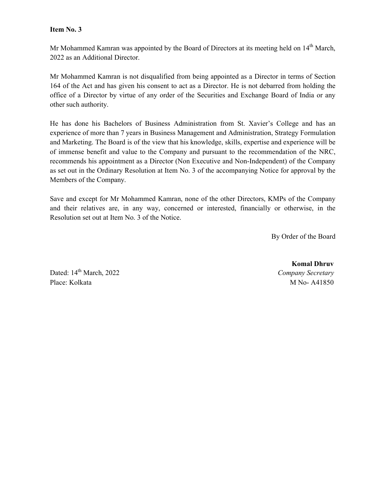#### **Item No. 3**

Mr Mohammed Kamran was appointed by the Board of Directors at its meeting held on 14<sup>th</sup> March, 2022 as an Additional Director.

Mr Mohammed Kamran is not disqualified from being appointed as a Director in terms of Section 164 of the Act and has given his consent to act as a Director. He is not debarred from holding the office of a Director by virtue of any order of the Securities and Exchange Board of India or any other such authority.

He has done his Bachelors of Business Administration from St. Xavier's College and has an experience of more than 7 years in Business Management and Administration, Strategy Formulation and Marketing. The Board is of the view that his knowledge, skills, expertise and experience will be of immense benefit and value to the Company and pursuant to the recommendation of the NRC, recommends his appointment as a Director (Non Executive and Non-Independent) of the Company as set out in the Ordinary Resolution at Item No. 3 of the accompanying Notice for approval by the Members of the Company.

Save and except for Mr Mohammed Kamran, none of the other Directors, KMPs of the Company and their relatives are, in any way, concerned or interested, financially or otherwise, in the Resolution set out at Item No. 3 of the Notice.

By Order of the Board

Dated: 14th March, 2022 *Company Secretary*  Place: Kolkata M No- A41850

 **Komal Dhruv**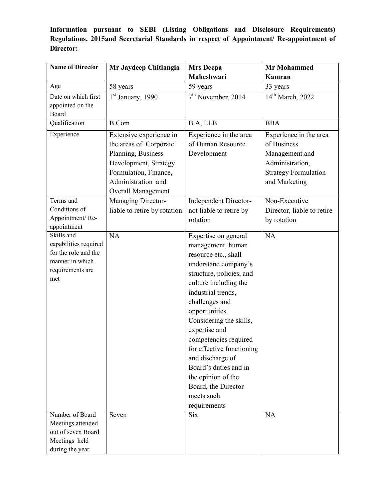**Information pursuant to SEBI (Listing Obligations and Disclosure Requirements) Regulations, 2015and Secretarial Standards in respect of Appointment/ Re-appointment of Director:** 

| <b>Name of Director</b>                                                                                                  | Mr Jaydeep Chitlangia                                                                                                                                                 | <b>Mrs Deepa</b>                                                                                                                                                                                                                                                                                                                                                                                                                   | <b>Mr Mohammed</b>                                                                                                         |
|--------------------------------------------------------------------------------------------------------------------------|-----------------------------------------------------------------------------------------------------------------------------------------------------------------------|------------------------------------------------------------------------------------------------------------------------------------------------------------------------------------------------------------------------------------------------------------------------------------------------------------------------------------------------------------------------------------------------------------------------------------|----------------------------------------------------------------------------------------------------------------------------|
|                                                                                                                          |                                                                                                                                                                       | Maheshwari                                                                                                                                                                                                                                                                                                                                                                                                                         | Kamran                                                                                                                     |
| Age                                                                                                                      | 58 years                                                                                                                                                              | 59 years                                                                                                                                                                                                                                                                                                                                                                                                                           | 33 years                                                                                                                   |
| Date on which first<br>appointed on the<br>Board                                                                         | $1st$ January, 1990                                                                                                                                                   | $7th$ November, 2014                                                                                                                                                                                                                                                                                                                                                                                                               | 14 <sup>th</sup> March, 2022                                                                                               |
| Qualification                                                                                                            | <b>B.Com</b>                                                                                                                                                          | B.A, LLB                                                                                                                                                                                                                                                                                                                                                                                                                           | <b>BBA</b>                                                                                                                 |
| Experience                                                                                                               | Extensive experience in<br>the areas of Corporate<br>Planning, Business<br>Development, Strategy<br>Formulation, Finance,<br>Administration and<br>Overall Management | Experience in the area<br>of Human Resource<br>Development                                                                                                                                                                                                                                                                                                                                                                         | Experience in the area<br>of Business<br>Management and<br>Administration,<br><b>Strategy Formulation</b><br>and Marketing |
| Terms and<br>Conditions of<br>Appointment/Re-                                                                            | Managing Director-<br>liable to retire by rotation                                                                                                                    | <b>Independent Director-</b><br>not liable to retire by<br>rotation                                                                                                                                                                                                                                                                                                                                                                | Non-Executive<br>Director, liable to retire<br>by rotation                                                                 |
| appointment<br>Skills and<br>capabilities required<br>for the role and the<br>manner in which<br>requirements are<br>met | NA                                                                                                                                                                    | Expertise on general<br>management, human<br>resource etc., shall<br>understand company's<br>structure, policies, and<br>culture including the<br>industrial trends,<br>challenges and<br>opportunities.<br>Considering the skills,<br>expertise and<br>competencies required<br>for effective functioning<br>and discharge of<br>Board's duties and in<br>the opinion of the<br>Board, the Director<br>meets such<br>requirements | NA                                                                                                                         |
| Number of Board<br>Meetings attended<br>out of seven Board<br>Meetings held<br>during the year                           | Seven                                                                                                                                                                 | <b>Six</b>                                                                                                                                                                                                                                                                                                                                                                                                                         | NA                                                                                                                         |